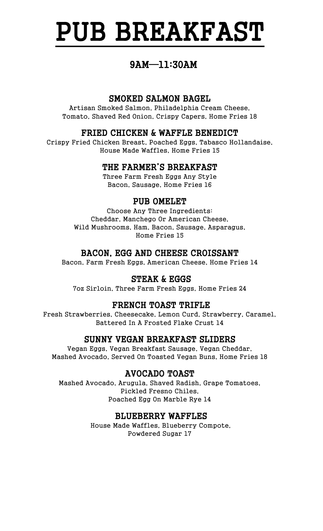# PUB BREAKFAST

### 9AM—11:30AM

### SMOKED SALMON BAGEL

Artisan Smoked Salmon, Philadelphia Cream Cheese, Tomato, Shaved Red Onion, Crispy Capers, Home Fries 18

#### FRIED CHICKEN & WAFFLE BENEDICT

Crispy Fried Chicken Breast, Poached Eggs, Tabasco Hollandaise, House Made Waffles, Home Fries 15

#### THE FARMER'S BREAKFAST

Three Farm Fresh Eggs Any Style Bacon, Sausage, Home Fries 16

### PUB OMELET

Choose Any Three Ingredients: Cheddar, Manchego Or American Cheese, Wild Mushrooms, Ham, Bacon, Sausage, Asparagus, Home Fries 15

### BACON, EGG AND CHEESE CROISSANT

Bacon, Farm Fresh Eggs, American Cheese, Home Fries 14

### STEAK & EGGS

7oz Sirloin, Three Farm Fresh Eggs, Home Fries 24

### FRENCH TOAST TRIFLE

Fresh Strawberries, Cheesecake, Lemon Curd, Strawberry, Caramel, Battered In A Frosted Flake Crust 14

### SUNNY VEGAN BREAKFAST SLIDERS

Vegan Eggs, Vegan Breakfast Sausage, Vegan Cheddar, Mashed Avocado, Served On Toasted Vegan Buns, Home Fries 18

### AVOCADO TOAST

Mashed Avocado, Arugula, Shaved Radish, Grape Tomatoes, Pickled Fresno Chiles, Poached Egg On Marble Rye 14

### BLUEBERRY WAFFLES

House Made Waffles, Blueberry Compote, Powdered Sugar 17